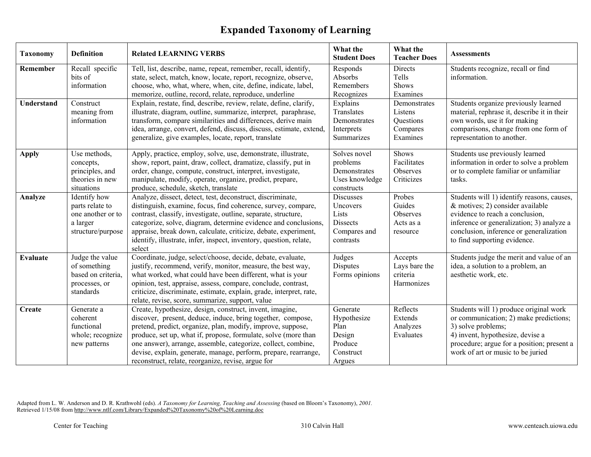### **Expanded Taxonomy of Learning**

| <b>Taxonomy</b> | <b>Definition</b>                                                                     | <b>Related LEARNING VERBS</b>                                                                                                                                                                                                                                                                                                                                                                                                                      | What the<br><b>Student Does</b>                                                       | What the<br><b>Teacher Does</b>                              | <b>Assessments</b>                                                                                                                                                                                                                        |
|-----------------|---------------------------------------------------------------------------------------|----------------------------------------------------------------------------------------------------------------------------------------------------------------------------------------------------------------------------------------------------------------------------------------------------------------------------------------------------------------------------------------------------------------------------------------------------|---------------------------------------------------------------------------------------|--------------------------------------------------------------|-------------------------------------------------------------------------------------------------------------------------------------------------------------------------------------------------------------------------------------------|
| Remember        | Recall specific<br>bits of<br>information                                             | Tell, list, describe, name, repeat, remember, recall, identify,<br>state, select, match, know, locate, report, recognize, observe,<br>choose, who, what, where, when, cite, define, indicate, label,<br>memorize, outline, record, relate, reproduce, underline                                                                                                                                                                                    | Responds<br>Absorbs<br>Remembers<br>Recognizes                                        | Directs<br>Tells<br><b>Shows</b><br>Examines                 | Students recognize, recall or find<br>information.                                                                                                                                                                                        |
| Understand      | Construct<br>meaning from<br>information                                              | Explain, restate, find, describe, review, relate, define, clarify,<br>illustrate, diagram, outline, summarize, interpret, paraphrase,<br>transform, compare similarities and differences, derive main<br>idea, arrange, convert, defend, discuss, discuss, estimate, extend,<br>generalize, give examples, locate, report, translate                                                                                                               | Explains<br>Translates<br>Demonstrates<br>Interprets<br>Summarizes                    | Demonstrates<br>Listens<br>Questions<br>Compares<br>Examines | Students organize previously learned<br>material, rephrase it, describe it in their<br>own words, use it for making<br>comparisons, change from one form of<br>representation to another.                                                 |
| <b>Apply</b>    | Use methods,<br>concepts,<br>principles, and<br>theories in new<br>situations         | Apply, practice, employ, solve, use, demonstrate, illustrate,<br>show, report, paint, draw, collect, dramatize, classify, put in<br>order, change, compute, construct, interpret, investigate,<br>manipulate, modify, operate, organize, predict, prepare,<br>produce, schedule, sketch, translate                                                                                                                                                 | Solves novel<br>problems<br>Demonstrates<br>Uses knowledge<br>constructs              | <b>Shows</b><br>Facilitates<br>Observes<br>Criticizes        | Students use previously learned<br>information in order to solve a problem<br>or to complete familiar or unfamiliar<br>tasks.                                                                                                             |
| Analyze         | Identify how<br>parts relate to<br>one another or to<br>a larger<br>structure/purpose | Analyze, dissect, detect, test, deconstruct, discriminate,<br>distinguish, examine, focus, find coherence, survey, compare,<br>contrast, classify, investigate, outline, separate, structure,<br>categorize, solve, diagram, determine evidence and conclusions,<br>appraise, break down, calculate, criticize, debate, experiment,<br>identify, illustrate, infer, inspect, inventory, question, relate,<br>select                                | <b>Discusses</b><br>Uncovers<br>Lists<br><b>Dissects</b><br>Compares and<br>contrasts | Probes<br>Guides<br>Observes<br>Acts as a<br>resource        | Students will 1) identify reasons, causes,<br>& motives; 2) consider available<br>evidence to reach a conclusion,<br>inference or generalization; 3) analyze a<br>conclusion, inference or generalization<br>to find supporting evidence. |
| Evaluate        | Judge the value<br>of something<br>based on criteria,<br>processes, or<br>standards   | Coordinate, judge, select/choose, decide, debate, evaluate,<br>justify, recommend, verify, monitor, measure, the best way,<br>what worked, what could have been different, what is your<br>opinion, test, appraise, assess, compare, conclude, contrast,<br>criticize, discriminate, estimate, explain, grade, interpret, rate,<br>relate, revise, score, summarize, support, value                                                                | Judges<br>Disputes<br>Forms opinions                                                  | Accepts<br>Lays bare the<br>criteria<br>Harmonizes           | Students judge the merit and value of an<br>idea, a solution to a problem, an<br>aesthetic work, etc.                                                                                                                                     |
| Create          | Generate a<br>coherent<br>functional<br>whole; recognize<br>new patterns              | Create, hypothesize, design, construct, invent, imagine,<br>discover, present, deduce, induce, bring together, compose,<br>pretend, predict, organize, plan, modify, improve, suppose,<br>produce, set up, what if, propose, formulate, solve (more than<br>one answer), arrange, assemble, categorize, collect, combine,<br>devise, explain, generate, manage, perform, prepare, rearrange,<br>reconstruct, relate, reorganize, revise, argue for | Generate<br>Hypothesize<br>Plan<br>Design<br>Produce<br>Construct<br>Argues           | Reflects<br>Extends<br>Analyzes<br>Evaluates                 | Students will 1) produce original work<br>or communication; 2) make predictions;<br>3) solve problems;<br>4) invent, hypothesize, devise a<br>procedure; argue for a position; present a<br>work of art or music to be juried             |

Adapted from L. W. Anderson and D. R. Krathwohl (eds). *A Taxonomy for Learning, Teaching and Assessing* (based on Bloom's Taxonomy), *2001.*  Retrieved 1/15/08 from http://www.ntlf.com/Library/Expanded%20Taxonomy%20of%20Learning.doc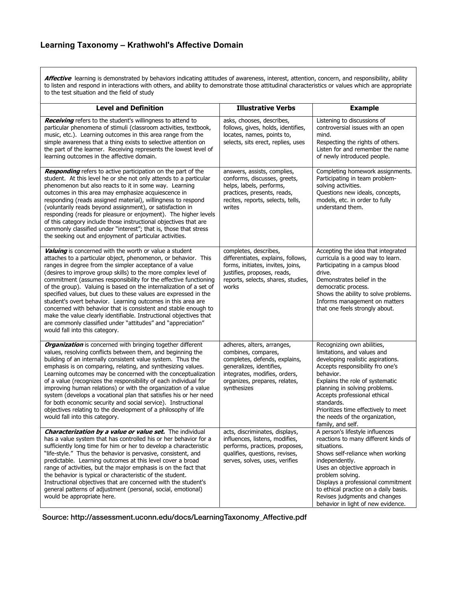#### **Learning Taxonomy – Krathwohl's Affective Domain**

**Affective** learning is demonstrated by behaviors indicating attitudes of awareness, interest, attention, concern, and responsibility, ability to listen and respond in interactions with others, and ability to demonstrate those attitudinal characteristics or values which are appropriate to the test situation and the field of study

| <b>Level and Definition</b>                                                                                                                                                                                                                                                                                                                                                                                                                                                                                                                                                                                                                                                                                                                                                    | <b>Illustrative Verbs</b>                                                                                                                                                                       | <b>Example</b>                                                                                                                                                                                                                                                                                                                                                   |
|--------------------------------------------------------------------------------------------------------------------------------------------------------------------------------------------------------------------------------------------------------------------------------------------------------------------------------------------------------------------------------------------------------------------------------------------------------------------------------------------------------------------------------------------------------------------------------------------------------------------------------------------------------------------------------------------------------------------------------------------------------------------------------|-------------------------------------------------------------------------------------------------------------------------------------------------------------------------------------------------|------------------------------------------------------------------------------------------------------------------------------------------------------------------------------------------------------------------------------------------------------------------------------------------------------------------------------------------------------------------|
| Receiving refers to the student's willingness to attend to<br>particular phenomena of stimuli (classroom activities, textbook,<br>music, etc.). Learning outcomes in this area range from the<br>simple awareness that a thing exists to selective attention on<br>the part of the learner. Receiving represents the lowest level of<br>learning outcomes in the affective domain.                                                                                                                                                                                                                                                                                                                                                                                             | asks, chooses, describes,<br>follows, gives, holds, identifies,<br>locates, names, points to,<br>selects, sits erect, replies, uses                                                             | Listening to discussions of<br>controversial issues with an open<br>mind.<br>Respecting the rights of others.<br>Listen for and remember the name<br>of newly introduced people.                                                                                                                                                                                 |
| Responding refers to active participation on the part of the<br>student. At this level he or she not only attends to a particular<br>phenomenon but also reacts to it in some way. Learning<br>outcomes in this area may emphasize acquiescence in<br>responding (reads assigned material), willingness to respond<br>(voluntarily reads beyond assignment), or satisfaction in<br>responding (reads for pleasure or enjoyment). The higher levels<br>of this category include those instructional objectives that are<br>commonly classified under "interest"; that is, those that stress<br>the seeking out and enjoyment of particular activities.                                                                                                                          | answers, assists, complies,<br>conforms, discusses, greets,<br>helps, labels, performs,<br>practices, presents, reads,<br>recites, reports, selects, tells,<br>writes                           | Completing homework assignments.<br>Participating in team problem-<br>solving activities.<br>Questions new ideals, concepts,<br>models, etc. in order to fully<br>understand them.                                                                                                                                                                               |
| Valuing is concerned with the worth or value a student<br>attaches to a particular object, phenomenon, or behavior. This<br>ranges in degree from the simpler acceptance of a value<br>(desires to improve group skills) to the more complex level of<br>commitment (assumes responsibility for the effective functioning<br>of the group). Valuing is based on the internalization of a set of<br>specified values, but clues to these values are expressed in the<br>student's overt behavior. Learning outcomes in this area are<br>concerned with behavior that is consistent and stable enough to<br>make the value clearly identifiable. Instructional objectives that<br>are commonly classified under "attitudes" and "appreciation"<br>would fall into this category. | completes, describes,<br>differentiates, explains, follows,<br>forms, initiates, invites, joins,<br>justifies, proposes, reads,<br>reports, selects, shares, studies,<br>works                  | Accepting the idea that integrated<br>curricula is a good way to learn.<br>Participating in a campus blood<br>drive.<br>Demonstrates belief in the<br>democratic process.<br>Shows the ability to solve problems.<br>Informs management on matters<br>that one feels strongly about.                                                                             |
| Organization is concerned with bringing together different<br>values, resolving conflicts between them, and beginning the<br>building of an internally consistent value system. Thus the<br>emphasis is on comparing, relating, and synthesizing values.<br>Learning outcomes may be concerned with the conceptualization<br>of a value (recognizes the responsibility of each individual for<br>improving human relations) or with the organization of a value<br>system (develops a vocational plan that satisfies his or her need<br>for both economic security and social service). Instructional<br>objectives relating to the development of a philosophy of life<br>would fall into this category.                                                                      | adheres, alters, arranges,<br>combines, compares,<br>completes, defends, explains,<br>generalizes, identifies,<br>integrates, modifies, orders,<br>organizes, prepares, relates,<br>synthesizes | Recognizing own abilities,<br>limitations, and values and<br>developing realistic aspirations.<br>Accepts responsibility fro one's<br>behavior.<br>Explains the role of systematic<br>planning in solving problems.<br>Accepts professional ethical<br>standards.<br>Prioritizes time effectively to meet<br>the needs of the organization,<br>family, and self. |
| Characterization by a value or value set. The individual<br>has a value system that has controlled his or her behavior for a<br>sufficiently long time for him or her to develop a characteristic<br>"life-style." Thus the behavior is pervasive, consistent, and<br>predictable. Learning outcomes at this level cover a broad<br>range of activities, but the major emphasis is on the fact that<br>the behavior is typical or characteristic of the student.<br>Instructional objectives that are concerned with the student's<br>general patterns of adjustment (personal, social, emotional)<br>would be appropriate here.                                                                                                                                               | acts, discriminates, displays,<br>influences, listens, modifies,<br>performs, practices, proposes,<br>qualifies, questions, revises,<br>serves, solves, uses, verifies                          | A person's lifestyle influences<br>reactions to many different kinds of<br>situations.<br>Shows self-reliance when working<br>independently.<br>Uses an objective approach in<br>problem solving.<br>Displays a professional commitment<br>to ethical practice on a daily basis.<br>Revises judgments and changes<br>behavior in light of new evidence.          |

Source: http://assessment.uconn.edu/docs/LearningTaxonomy\_Affective.pdf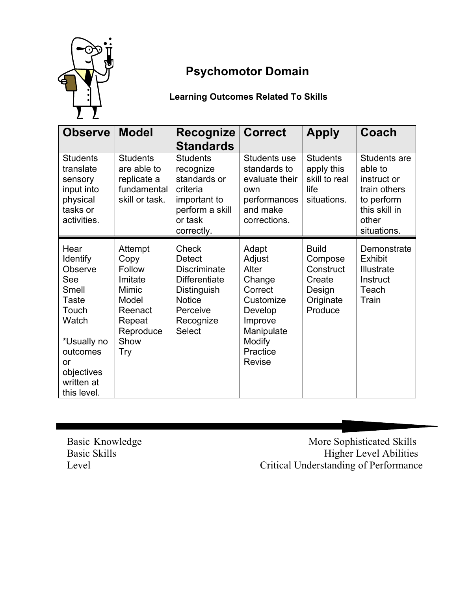

## **Psychomotor Domain**

### **Learning Outcomes Related To Skills**

| <b>Observe</b>                                                                                                                                     | <b>Model</b>                                                                                            | <b>Recognize</b><br><b>Standards</b>                                                                                                                          | <b>Correct</b>                                                                                                                 | <b>Apply</b>                                                                     | Coach                                                                                                         |
|----------------------------------------------------------------------------------------------------------------------------------------------------|---------------------------------------------------------------------------------------------------------|---------------------------------------------------------------------------------------------------------------------------------------------------------------|--------------------------------------------------------------------------------------------------------------------------------|----------------------------------------------------------------------------------|---------------------------------------------------------------------------------------------------------------|
| <b>Students</b><br>translate<br>sensory<br>input into<br>physical<br>tasks or<br>activities.                                                       | <b>Students</b><br>are able to<br>replicate a<br>fundamental<br>skill or task.                          | <b>Students</b><br>recognize<br>standards or<br>criteria<br>important to<br>perform a skill<br>or task<br>correctly.                                          | Students use<br>standards to<br>evaluate their<br>own<br>performances<br>and make<br>corrections.                              | <b>Students</b><br>apply this<br>skill to real<br>life<br>situations.            | Students are<br>able to<br>instruct or<br>train others<br>to perform<br>this skill in<br>other<br>situations. |
| Hear<br>Identify<br>Observe<br>See<br>Smell<br>Taste<br>Touch<br>Watch<br>*Usually no<br>outcomes<br>or<br>objectives<br>written at<br>this level. | Attempt<br>Copy<br>Follow<br>Imitate<br>Mimic<br>Model<br>Reenact<br>Repeat<br>Reproduce<br>Show<br>Try | <b>Check</b><br><b>Detect</b><br><b>Discriminate</b><br><b>Differentiate</b><br><b>Distinguish</b><br><b>Notice</b><br>Perceive<br>Recognize<br><b>Select</b> | Adapt<br>Adjust<br>Alter<br>Change<br>Correct<br>Customize<br>Develop<br>Improve<br>Manipulate<br>Modify<br>Practice<br>Revise | <b>Build</b><br>Compose<br>Construct<br>Create<br>Design<br>Originate<br>Produce | Demonstrate<br><b>Exhibit</b><br><b>Illustrate</b><br>Instruct<br>Teach<br>Train                              |

Basic Knowledge More Sophisticated Skills<br>Basic Skills<br>Higher Level Abilities Higher Level Abilities Level Critical Understanding of Performance